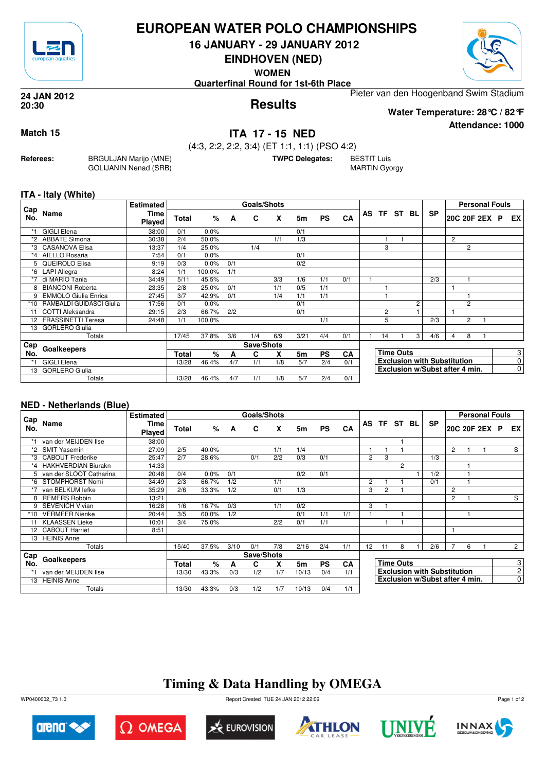

# **EUROPEAN WATER POLO CHAMPIONSHIPS**

**16 JANUARY - 29 JANUARY 2012**

**EINDHOVEN (NED)**

**WOMEN**

**Quarterfinal Round for 1st-6th Place**

Pieter van den Hoogenband Swim Stadium

**Results 24 JAN 2012 20:30**

**Attendance: 1000 Water Temperature: 28°C / 82°F**

**Match 15 ITA 17 - 15 NED**

**Referees:** BRGULJAN Marijo (MNE) GOLIJANIN Nenad (SRB) (4:3, 2:2, 2:2, 3:4) (ET 1:1, 1:1) (PSO 4:2)

**TWPC Delegates:** BESTIT Luis

MARTIN Gyorgy

### **ITA - Italy (White)**

|            |                             | <b>Estimated</b> |       |        |     | Goals/Shots |     |      |           |           |                |                  |                                    |                                |   | <b>Personal Fouls</b> |                |           |
|------------|-----------------------------|------------------|-------|--------|-----|-------------|-----|------|-----------|-----------|----------------|------------------|------------------------------------|--------------------------------|---|-----------------------|----------------|-----------|
| Cap<br>No. | Name                        | Time<br>Played   | Total | %      | A   | C           | X   | 5m   | <b>PS</b> | CA        | AS TF ST BL    |                  |                                    | <b>SP</b>                      |   | 20C 20F 2EX P         |                | EX        |
| $*1$       | <b>GIGLI Elena</b>          | 38:00            | 0/1   | 0.0%   |     |             |     | 0/1  |           |           |                |                  |                                    |                                |   |                       |                |           |
| *2         | <b>ABBATE Simona</b>        | 30:38            | 2/4   | 50.0%  |     |             | 1/1 | 1/3  |           |           |                |                  |                                    |                                | 2 |                       |                |           |
|            | *3 CASANOVA Elisa           | 13:37            | 1/4   | 25.0%  |     | 1/4         |     |      |           |           | 3              |                  |                                    |                                |   | 2                     |                |           |
| *4         | AIELLO Rosaria              | 7:54             | 0/1   | 0.0%   |     |             |     | 0/1  |           |           |                |                  |                                    |                                |   |                       |                |           |
|            | 5 QUEIROLO Elisa            | 9:19             | 0/3   | 0.0%   | 0/1 |             |     | 0/2  |           |           |                |                  |                                    |                                |   |                       |                |           |
| *6         | <b>LAPI Allegra</b>         | 8:24             | 1/1   | 100.0% | 1/1 |             |     |      |           |           |                |                  |                                    |                                |   |                       |                |           |
| $*7$       | di MARIO Tania              | 34:49            | 5/11  | 45.5%  |     |             | 3/3 | 1/6  | 1/1       | 0/1       |                |                  |                                    | 2/3                            |   |                       |                |           |
| 8          | <b>BIANCONI Roberta</b>     | 23:35            | 2/8   | 25.0%  | 0/1 |             | 1/1 | 0/5  | 1/1       |           |                |                  |                                    |                                |   |                       |                |           |
| 9          | <b>EMMOLO Giulia Enrica</b> | 27:45            | 3/7   | 42.9%  | 0/1 |             | 1/4 | 1/1  | 1/1       |           |                |                  |                                    |                                |   |                       |                |           |
| $*10$      | RAMBALDI GUIDASCI Giulia    | 17:56            | 0/1   | 0.0%   |     |             |     | 0/1  |           |           |                |                  | $\overline{c}$                     |                                |   | 2                     |                |           |
| 11         | COTTI Aleksandra            | 29:15            | 2/3   | 66.7%  | 2/2 |             |     | 0/1  |           |           | $\overline{2}$ |                  |                                    |                                |   |                       |                |           |
| 12         | <b>FRASSINETTI Teresa</b>   | 24:48            | 1/1   | 100.0% |     |             |     |      | 1/1       |           | 5              |                  |                                    | 2/3                            |   | 2                     |                |           |
| 13         | <b>GORLERO Giulia</b>       |                  |       |        |     |             |     |      |           |           |                |                  |                                    |                                |   |                       |                |           |
|            | Totals                      |                  | 17/45 | 37.8%  | 3/6 | 1/4         | 6/9 | 3/21 | 4/4       | 0/1       | 14             |                  | 3 <sub>l</sub>                     | 4/6                            | 4 | 8                     |                |           |
| Cap        |                             |                  |       |        |     | Save/Shots  |     |      |           |           |                |                  |                                    |                                |   |                       |                |           |
| No.        | Goalkeepers                 |                  | Total | %      | A   | C           | X   | 5m   | <b>PS</b> | <b>CA</b> |                | <b>Time Outs</b> |                                    |                                |   |                       |                | 3         |
| *1         | <b>GIGLI Elena</b>          | 13/28            | 46.4% | 4/7    | 1/1 | 1/8         | 5/7 | 2/4  | 0/1       |           |                |                  | <b>Exclusion with Substitution</b> |                                |   |                       | $\overline{0}$ |           |
| 13         | <b>GORLERO Giulia</b>       |                  |       |        |     |             |     |      |           |           |                |                  |                                    | Exclusion w/Subst after 4 min. |   |                       |                | $\pmb{0}$ |
|            | Totals                      |                  | 13/28 | 46.4%  | 4/7 | 1/1         | 1/8 | 5/7  | 2/4       | 0/1       |                |                  |                                    |                                |   |                       |                |           |

### **NED - Netherlands (Blue)**

|            |                         | <b>Estimated</b>             |       |       |      | Goals/Shots |       |       |           |     |                                    |                |                  |  |                                |                |                | <b>Personal Fouls</b> |  |                |
|------------|-------------------------|------------------------------|-------|-------|------|-------------|-------|-------|-----------|-----|------------------------------------|----------------|------------------|--|--------------------------------|----------------|----------------|-----------------------|--|----------------|
| Cap<br>No. | Name                    | <b>Time</b><br><b>Played</b> | Total | %     | A    | C           | X     | 5m    | <b>PS</b> | CA  |                                    |                | AS TF ST BL      |  | <b>SP</b>                      |                |                | 20C 20F 2EX P         |  | EX I           |
|            | van der MEIJDEN Ilse    | 38:00                        |       |       |      |             |       |       |           |     |                                    |                |                  |  |                                |                |                |                       |  |                |
| $*2$       | <b>SMIT Yasemin</b>     | 27:09                        | 2/5   | 40.0% |      |             | 1/1   | 1/4   |           |     |                                    |                |                  |  |                                | $\overline{2}$ |                |                       |  | S              |
| *3         | <b>CABOUT Frederike</b> | 25:47                        | 2/7   | 28.6% |      | 0/1         | 2/2   | 0/3   | 0/1       |     | 2                                  | 3              |                  |  | 1/3                            |                |                |                       |  |                |
|            | *4 HAKHVERDIAN Biurakn  | 14:33                        |       |       |      |             |       |       |           |     |                                    |                | $\overline{2}$   |  |                                |                |                |                       |  |                |
| 5.         | van der SLOOT Catharina | 20:48                        | 0/4   | 0.0%  | 0/1  |             |       | 0/2   | 0/1       |     |                                    |                |                  |  | 1/2                            |                |                |                       |  |                |
| *6         | STOMPHORST Nomi         | 34:49                        | 2/3   | 66.7% | 1/2  |             | 1/1   |       |           |     | $\overline{2}$                     |                |                  |  | 0/1                            |                |                |                       |  |                |
|            | van BELKUM lefke        | 35:29                        | 2/6   | 33.3% | 1/2  |             | 0/1   | 1/3   |           |     | 3                                  | $\overline{2}$ |                  |  |                                | 2              |                |                       |  |                |
|            | <b>REMERS Robbin</b>    | 13:21                        |       |       |      |             |       |       |           |     |                                    |                |                  |  |                                | 2              |                |                       |  | S              |
| 9          | <b>SEVENICH Vivian</b>  | 16:28                        | 1/6   | 16.7% | 0/3  |             | 1/1   | 0/2   |           |     | 3                                  |                |                  |  |                                |                |                |                       |  |                |
| *10        | <b>VERMEER Nienke</b>   | 20:44                        | 3/5   | 60.0% | 1/2  |             |       | 0/1   | 1/1       | 1/1 |                                    |                |                  |  |                                |                |                |                       |  |                |
|            | <b>KLAASSEN Lieke</b>   | 10:01                        | 3/4   | 75.0% |      |             | 2/2   | 0/1   | 1/1       |     |                                    |                |                  |  |                                |                |                |                       |  |                |
|            | 12 CABOUT Harriet       | 8:51                         |       |       |      |             |       |       |           |     |                                    |                |                  |  |                                |                |                |                       |  |                |
| 13         | <b>HEINIS Anne</b>      |                              |       |       |      |             |       |       |           |     |                                    |                |                  |  |                                |                |                |                       |  |                |
|            | Totals                  |                              | 15/40 | 37.5% | 3/10 | 0/1         | 7/8   | 2/16  | 2/4       | 1/1 | $12 \overline{ }$                  | 11             | 8                |  | 2/6                            | 7              | 6              |                       |  | $\overline{2}$ |
| Cap        |                         |                              |       |       |      | Save/Shots  |       |       |           |     |                                    |                |                  |  |                                |                |                |                       |  |                |
| No.        | Goalkeepers             |                              | Total | $\%$  | A    | C           | x     | 5m    | <b>PS</b> | CA  |                                    |                | <b>Time Outs</b> |  |                                |                |                |                       |  | 3 <sup>1</sup> |
|            | van der MEIJDEN Ilse    | 13/30                        | 43.3% | 0/3   | 1/2  | 1/7         | 10/13 | 0/4   | 1/1       |     | <b>Exclusion with Substitution</b> |                |                  |  |                                |                | 2 <sup>1</sup> |                       |  |                |
| 13         | <b>HEINIS Anne</b>      |                              |       |       |      |             |       |       |           |     |                                    |                |                  |  | Exclusion w/Subst after 4 min. |                |                |                       |  | $\overline{0}$ |
|            | Totals                  |                              | 13/30 | 43.3% | 0/3  | 1/2         | 1/7   | 10/13 | 0/4       | 1/1 |                                    |                |                  |  |                                |                |                |                       |  |                |

# **Timing & Data Handling by OMEGA**

WP0400002\_73 1.0 Report Created TUE 24 JAN 2012 22:06











Page 1 of 2